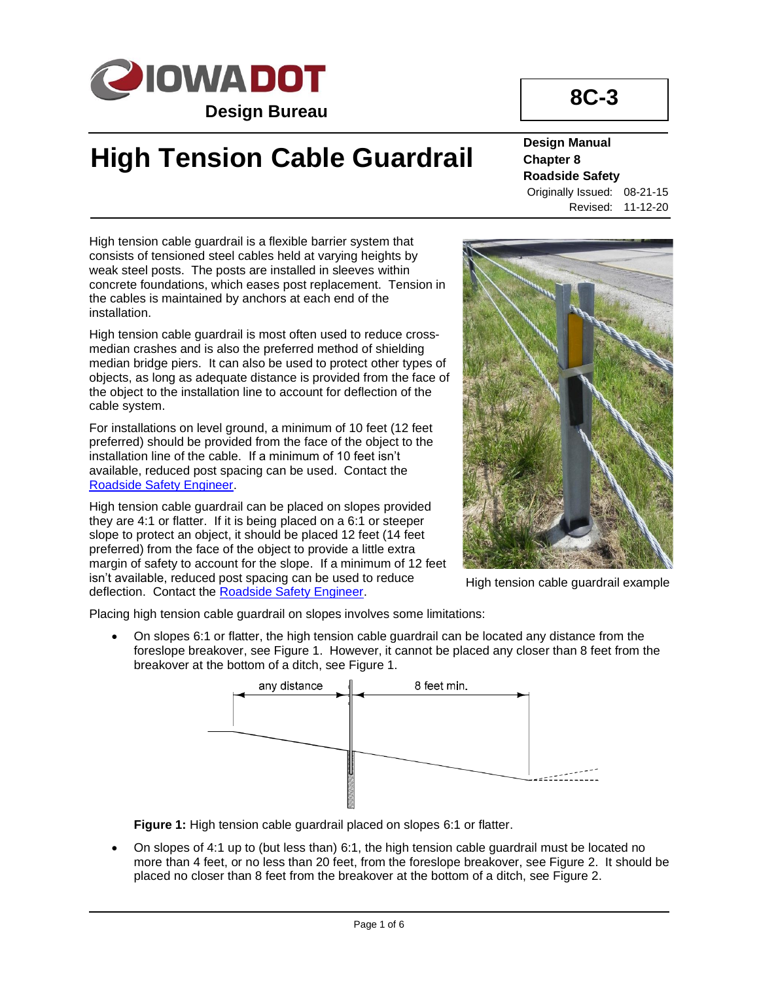

# **High Tension Cable Guardrail**

# **8C-3**

**Design Manual Chapter 8 Roadside Safety** Originally Issued: 08-21-15 Revised: 11-12-20

High tension cable guardrail is a flexible barrier system that consists of tensioned steel cables held at varying heights by weak steel posts. The posts are installed in sleeves within concrete foundations, which eases post replacement. Tension in the cables is maintained by anchors at each end of the installation.

High tension cable guardrail is most often used to reduce crossmedian crashes and is also the preferred method of shielding median bridge piers. It can also be used to protect other types of objects, as long as adequate distance is provided from the face of the object to the installation line to account for deflection of the cable system.

For installations on level ground, a minimum of 10 feet (12 feet preferred) should be provided from the face of the object to the installation line of the cable. If a minimum of 10 feet isn't available, reduced post spacing can be used. Contact the [Roadside Safety Engineer.](01B-02/RoadsideSafetyEngineer.pdf)

High tension cable guardrail can be placed on slopes provided they are 4:1 or flatter. If it is being placed on a 6:1 or steeper slope to protect an object, it should be placed 12 feet (14 feet preferred) from the face of the object to provide a little extra margin of safety to account for the slope. If a minimum of 12 feet isn't available, reduced post spacing can be used to reduce deflection. Contact the [Roadside Safety Engineer.](01B-02/RoadsideSafetyEngineer.pdf)



High tension cable guardrail example

Placing high tension cable guardrail on slopes involves some limitations:

• On slopes 6:1 or flatter, the high tension cable guardrail can be located any distance from the foreslope breakover, see Figure 1. However, it cannot be placed any closer than 8 feet from the breakover at the bottom of a ditch, see Figure 1.



**Figure 1:** High tension cable guardrail placed on slopes 6:1 or flatter.

• On slopes of 4:1 up to (but less than) 6:1, the high tension cable guardrail must be located no more than 4 feet, or no less than 20 feet, from the foreslope breakover, see Figure 2. It should be placed no closer than 8 feet from the breakover at the bottom of a ditch, see Figure 2.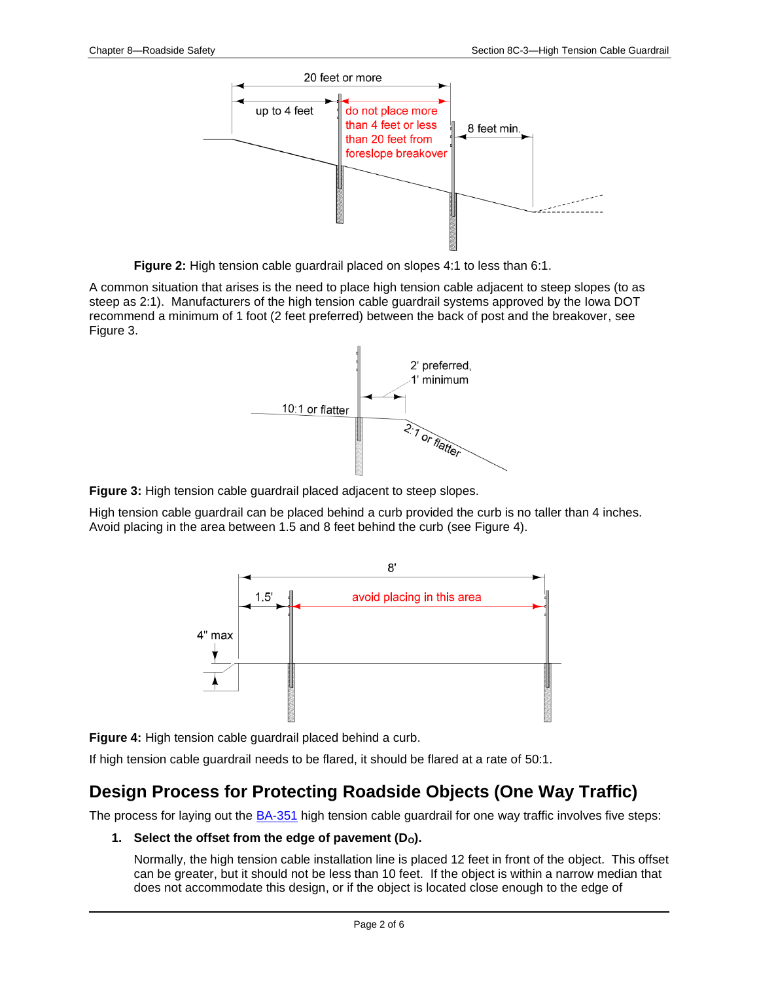

**Figure 2:** High tension cable guardrail placed on slopes 4:1 to less than 6:1.

A common situation that arises is the need to place high tension cable adjacent to steep slopes (to as steep as 2:1). Manufacturers of the high tension cable guardrail systems approved by the Iowa DOT recommend a minimum of 1 foot (2 feet preferred) between the back of post and the breakover, see Figure 3.



**Figure 3:** High tension cable guardrail placed adjacent to steep slopes.

High tension cable guardrail can be placed behind a curb provided the curb is no taller than 4 inches. Avoid placing in the area between 1.5 and 8 feet behind the curb (see Figure 4).



**Figure 4:** High tension cable guardrail placed behind a curb.

If high tension cable guardrail needs to be flared, it should be flared at a rate of 50:1.

# **Design Process for Protecting Roadside Objects (One Way Traffic)**

The process for laying out the **BA-351** high tension cable guardrail for one way traffic involves five steps:

### 1. **Select the offset from the edge of pavement (D<sub>0</sub>).**

Normally, the high tension cable installation line is placed 12 feet in front of the object. This offset can be greater, but it should not be less than 10 feet. If the object is within a narrow median that does not accommodate this design, or if the object is located close enough to the edge of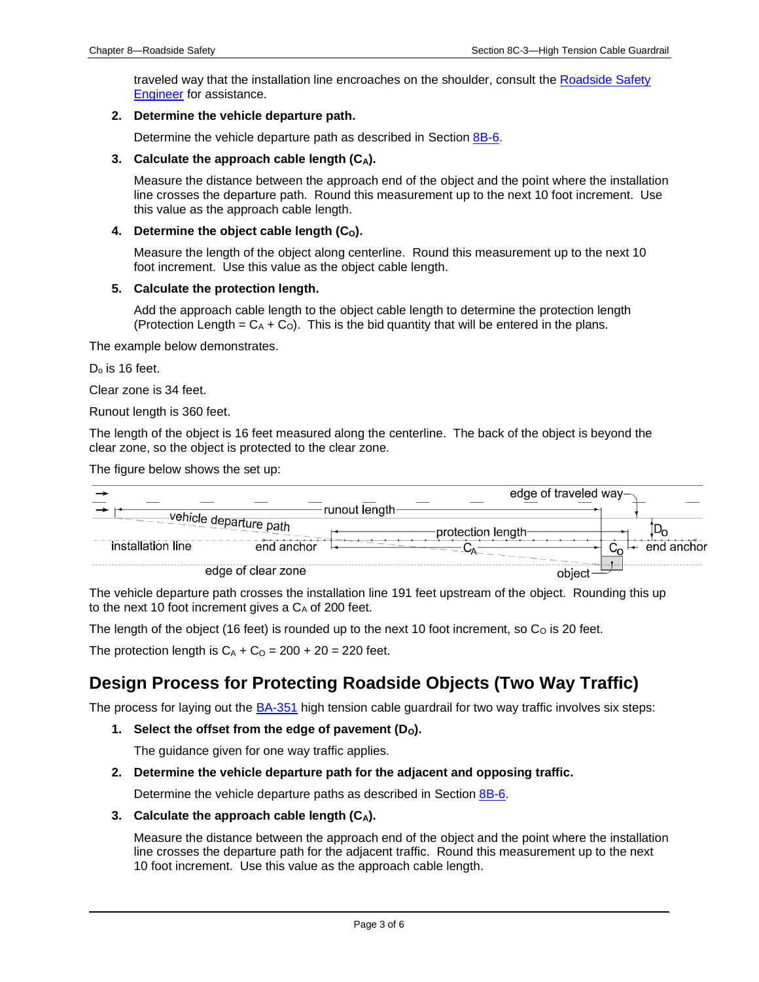traveled way that the installation line encroaches on the shoulder, consult th[e Roadside Safety](01B-02/RoadsideSafetyEngineer.pdf)  [Engineer](01B-02/RoadsideSafetyEngineer.pdf) for assistance.

#### **2. Determine the vehicle departure path.**

Determine the vehicle departure path as described in Section [8B-6.](08b-06.pdf)

#### **3. Calculate the approach cable length (CA).**

Measure the distance between the approach end of the object and the point where the installation line crosses the departure path. Round this measurement up to the next 10 foot increment. Use this value as the approach cable length.

#### **4. Determine the object cable length (CO).**

Measure the length of the object along centerline. Round this measurement up to the next 10 foot increment. Use this value as the object cable length.

#### **5. Calculate the protection length.**

Add the approach cable length to the object cable length to determine the protection length (Protection Length =  $C_A + C_O$ ). This is the bid quantity that will be entered in the plans.

The example below demonstrates.

 $D<sub>o</sub>$  is 16 feet.

Clear zone is 34 feet.

Runout length is 360 feet.

The length of the object is 16 feet measured along the centerline. The back of the object is beyond the clear zone, so the object is protected to the clear zone.

#### The figure below shows the set up:

|                    |                        |                           | edge of traveled way- |  |
|--------------------|------------------------|---------------------------|-----------------------|--|
|                    |                        | runout length-            |                       |  |
|                    | vehicle departure path | protection length-        |                       |  |
| installation line  | end anchor             | $\mathsf{L}_{\mathsf{A}}$ | end anchor            |  |
| edge of clear zone |                        |                           |                       |  |

The vehicle departure path crosses the installation line 191 feet upstream of the object. Rounding this up to the next 10 foot increment gives a  $C_A$  of 200 feet.

The length of the object (16 feet) is rounded up to the next 10 foot increment, so  $C<sub>O</sub>$  is 20 feet.

The protection length is  $C_A + C_O = 200 + 20 = 220$  feet.

### **Design Process for Protecting Roadside Objects (Two Way Traffic)**

The process for laying out the **BA-351** high tension cable guardrail for two way traffic involves six steps:

1. **Select the offset from the edge of pavement (D<sub>0</sub>).** 

The guidance given for one way traffic applies.

#### **2. Determine the vehicle departure path for the adjacent and opposing traffic.**

Determine the vehicle departure paths as described in Section [8B-6.](08b-06.pdf)

**3. Calculate the approach cable length (CA).**

Measure the distance between the approach end of the object and the point where the installation line crosses the departure path for the adjacent traffic. Round this measurement up to the next 10 foot increment. Use this value as the approach cable length.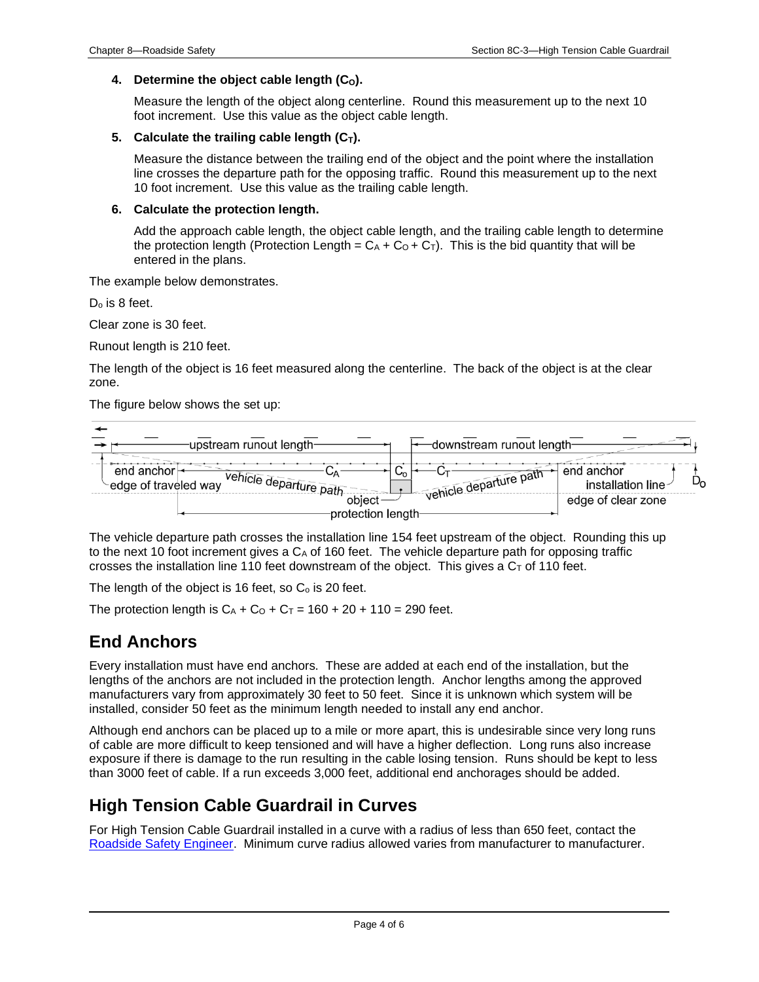### **4. Determine the object cable length (CO).**

Measure the length of the object along centerline. Round this measurement up to the next 10 foot increment. Use this value as the object cable length.

### **5.** Calculate the trailing cable length  $(C_T)$ .

Measure the distance between the trailing end of the object and the point where the installation line crosses the departure path for the opposing traffic. Round this measurement up to the next 10 foot increment. Use this value as the trailing cable length.

### **6. Calculate the protection length.**

Add the approach cable length, the object cable length, and the trailing cable length to determine the protection length (Protection Length =  $C_A + C_O + C_T$ ). This is the bid quantity that will be entered in the plans.

The example below demonstrates.

 $D<sub>o</sub>$  is 8 feet.

Clear zone is 30 feet.

Runout length is 210 feet.

The length of the object is 16 feet measured along the centerline. The back of the object is at the clear zone.

The figure below shows the set up:



The vehicle departure path crosses the installation line 154 feet upstream of the object. Rounding this up to the next 10 foot increment gives a  $C_A$  of 160 feet. The vehicle departure path for opposing traffic crosses the installation line 110 feet downstream of the object. This gives a  $C<sub>T</sub>$  of 110 feet.

The length of the object is 16 feet, so  $C<sub>o</sub>$  is 20 feet.

The protection length is  $C_A + C_O + C_T = 160 + 20 + 110 = 290$  feet.

## **End Anchors**

Every installation must have end anchors. These are added at each end of the installation, but the lengths of the anchors are not included in the protection length. Anchor lengths among the approved manufacturers vary from approximately 30 feet to 50 feet. Since it is unknown which system will be installed, consider 50 feet as the minimum length needed to install any end anchor.

Although end anchors can be placed up to a mile or more apart, this is undesirable since very long runs of cable are more difficult to keep tensioned and will have a higher deflection. Long runs also increase exposure if there is damage to the run resulting in the cable losing tension. Runs should be kept to less than 3000 feet of cable. If a run exceeds 3,000 feet, additional end anchorages should be added.

## **High Tension Cable Guardrail in Curves**

For High Tension Cable Guardrail installed in a curve with a radius of less than 650 feet, contact the [Roadside Safety Engineer.](01B-02/RoadsideSafetyEngineer.pdf) Minimum curve radius allowed varies from manufacturer to manufacturer.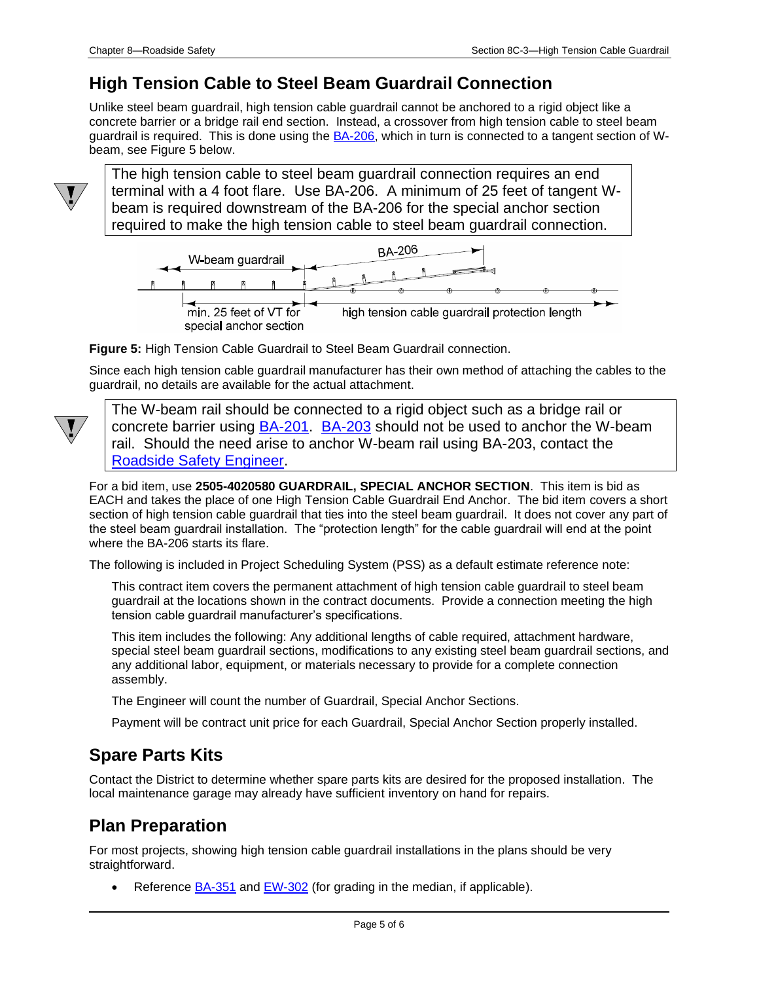### **High Tension Cable to Steel Beam Guardrail Connection**

Unlike steel beam guardrail, high tension cable guardrail cannot be anchored to a rigid object like a concrete barrier or a bridge rail end section. Instead, a crossover from high tension cable to steel beam guardrail is required. This is done using the **BA-206**, which in turn is connected to a tangent section of Wbeam, see Figure 5 below.



The high tension cable to steel beam guardrail connection requires an end terminal with a 4 foot flare. Use BA-206. A minimum of 25 feet of tangent Wbeam is required downstream of the BA-206 for the special anchor section required to make the high tension cable to steel beam guardrail connection.



**Figure 5:** High Tension Cable Guardrail to Steel Beam Guardrail connection.

Since each high tension cable guardrail manufacturer has their own method of attaching the cables to the guardrail, no details are available for the actual attachment.



The W-beam rail should be connected to a rigid object such as a bridge rail or concrete barrier using **BA-201. [BA-203](../SRP/IndividualStandards/ba203.pdf)** should not be used to anchor the W-beam rail. Should the need arise to anchor W-beam rail using BA-203, contact the [Roadside Safety Engineer.](01B-02/RoadsideSafetyEngineer.pdf)

For a bid item, use **2505-4020580 GUARDRAIL, SPECIAL ANCHOR SECTION**. This item is bid as EACH and takes the place of one High Tension Cable Guardrail End Anchor. The bid item covers a short section of high tension cable guardrail that ties into the steel beam guardrail. It does not cover any part of the steel beam guardrail installation. The "protection length" for the cable guardrail will end at the point where the BA-206 starts its flare.

The following is included in Project Scheduling System (PSS) as a default estimate reference note:

This contract item covers the permanent attachment of high tension cable guardrail to steel beam guardrail at the locations shown in the contract documents. Provide a connection meeting the high tension cable guardrail manufacturer's specifications.

This item includes the following: Any additional lengths of cable required, attachment hardware, special steel beam guardrail sections, modifications to any existing steel beam guardrail sections, and any additional labor, equipment, or materials necessary to provide for a complete connection assembly.

The Engineer will count the number of Guardrail, Special Anchor Sections.

Payment will be contract unit price for each Guardrail, Special Anchor Section properly installed.

## **Spare Parts Kits**

Contact the District to determine whether spare parts kits are desired for the proposed installation. The local maintenance garage may already have sufficient inventory on hand for repairs.

## **Plan Preparation**

For most projects, showing high tension cable guardrail installations in the plans should be very straightforward.

Reference **BA-351** and **EW-302** (for grading in the median, if applicable).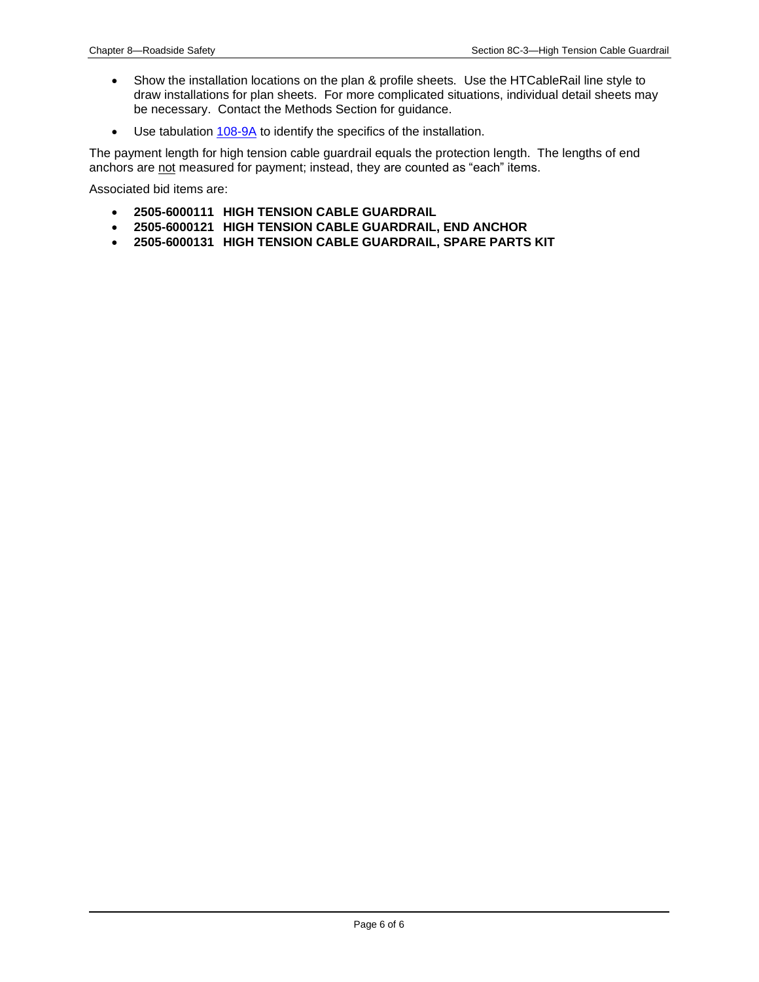- Show the installation locations on the plan & profile sheets. Use the HTCableRail line style to draw installations for plan sheets. For more complicated situations, individual detail sheets may be necessary. Contact the Methods Section for guidance.
- Use tabulatio[n 108-9A](../tnt/PDFsandWebFiles/IndividualPDFs/0108-09A.PDF) to identify the specifics of the installation.

The payment length for high tension cable guardrail equals the protection length. The lengths of end anchors are not measured for payment; instead, they are counted as "each" items.

Associated bid items are:

- **2505-6000111 HIGH TENSION CABLE GUARDRAIL**
- **2505-6000121 HIGH TENSION CABLE GUARDRAIL, END ANCHOR**
- **2505-6000131 HIGH TENSION CABLE GUARDRAIL, SPARE PARTS KIT**